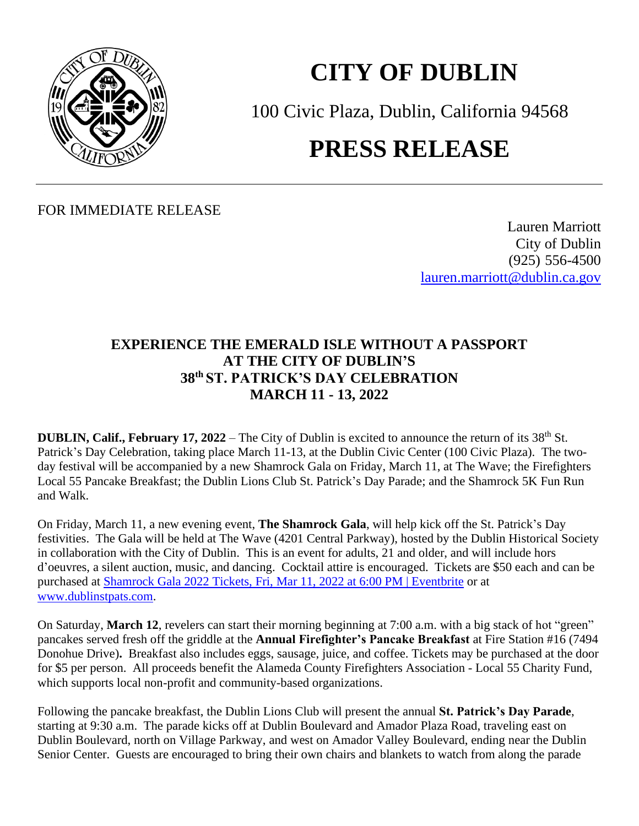

## **CITY OF DUBLIN**

100 Civic Plaza, Dublin, California 94568

## **PRESS RELEASE**

FOR IMMEDIATE RELEASE

Lauren Marriott City of Dublin (925) 556-4500 [lauren.marriott@dublin.ca.gov](mailto:lauren.marriott@dublin.ca.gov)

## **EXPERIENCE THE EMERALD ISLE WITHOUT A PASSPORT AT THE CITY OF DUBLIN'S 38 th ST. PATRICK'S DAY CELEBRATION MARCH 11 - 13, 2022**

**DUBLIN, Calif., February 17, 2022** – The City of Dublin is excited to announce the return of its 38<sup>th</sup> St. Patrick's Day Celebration, taking place March 11-13, at the Dublin Civic Center (100 Civic Plaza). The twoday festival will be accompanied by a new Shamrock Gala on Friday, March 11, at The Wave; the Firefighters Local 55 Pancake Breakfast; the Dublin Lions Club St. Patrick's Day Parade; and the Shamrock 5K Fun Run and Walk.

On Friday, March 11, a new evening event, **The Shamrock Gala**, will help kick off the St. Patrick's Day festivities. The Gala will be held at The Wave (4201 Central Parkway), hosted by the Dublin Historical Society in collaboration with the City of Dublin. This is an event for adults, 21 and older, and will include hors d'oeuvres, a silent auction, music, and dancing. Cocktail attire is encouraged. Tickets are \$50 each and can be purchased at [Shamrock Gala 2022 Tickets, Fri, Mar 11, 2022 at 6:00 PM | Eventbrite](https://www.eventbrite.com/e/shamrock-gala-2022-tickets-203440043647) or at [www.dublinstpats.com.](http://www.dublinstpats.com/)

On Saturday, **March 12**, revelers can start their morning beginning at 7:00 a.m. with a big stack of hot "green" pancakes served fresh off the griddle at the **Annual Firefighter's Pancake Breakfast** at Fire Station #16 (7494 Donohue Drive)**.** Breakfast also includes eggs, sausage, juice, and coffee. Tickets may be purchased at the door for \$5 per person. All proceeds benefit the Alameda County Firefighters Association - Local 55 Charity Fund, which supports local non-profit and community-based organizations.

Following the pancake breakfast, the Dublin Lions Club will present the annual **St. Patrick's Day Parade**, starting at 9:30 a.m. The parade kicks off at Dublin Boulevard and Amador Plaza Road, traveling east on Dublin Boulevard, north on Village Parkway, and west on Amador Valley Boulevard, ending near the Dublin Senior Center. Guests are encouraged to bring their own chairs and blankets to watch from along the parade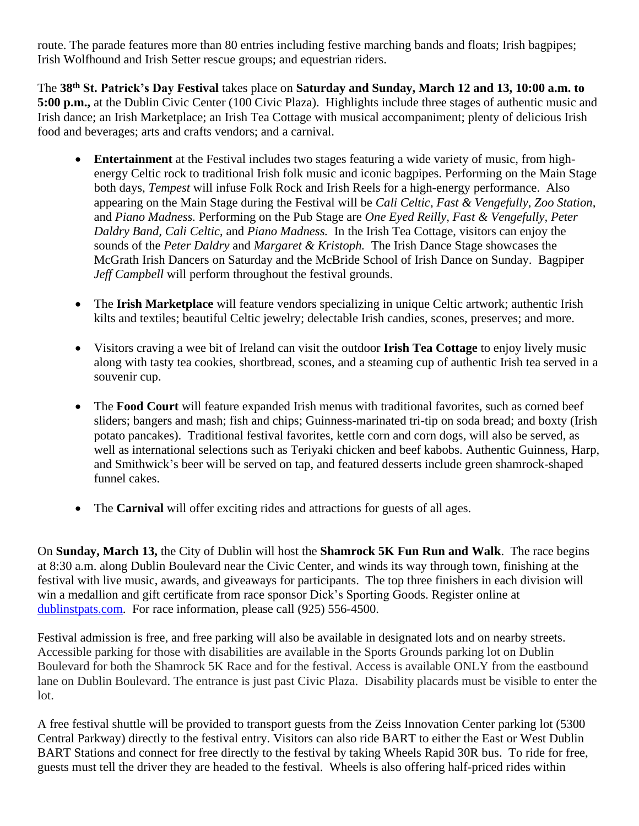route. The parade features more than 80 entries including festive marching bands and floats; Irish bagpipes; Irish Wolfhound and Irish Setter rescue groups; and equestrian riders.

The **38 th St. Patrick's Day Festival** takes place on **Saturday and Sunday, March 12 and 13, 10:00 a.m. to 5:00 p.m.,** at the Dublin Civic Center (100 Civic Plaza). Highlights include three stages of authentic music and Irish dance; an Irish Marketplace; an Irish Tea Cottage with musical accompaniment; plenty of delicious Irish food and beverages; arts and crafts vendors; and a carnival.

- **Entertainment** at the Festival includes two stages featuring a wide variety of music, from highenergy Celtic rock to traditional Irish folk music and iconic bagpipes. Performing on the Main Stage both days, *Tempest* will infuse Folk Rock and Irish Reels for a high-energy performance. Also appearing on the Main Stage during the Festival will be *Cali Celtic*, *Fast & Vengefully*, *Zoo Station,* and *Piano Madness.* Performing on the Pub Stage are *One Eyed Reilly, Fast & Vengefully, Peter Daldry Band, Cali Celtic*, and *Piano Madness.* In the Irish Tea Cottage, visitors can enjoy the sounds of the *Peter Daldry* and *Margaret & Kristoph.* The Irish Dance Stage showcases the McGrath Irish Dancers on Saturday and the McBride School of Irish Dance on Sunday. Bagpiper *Jeff Campbell* will perform throughout the festival grounds.
- The **Irish Marketplace** will feature vendors specializing in unique Celtic artwork; authentic Irish kilts and textiles; beautiful Celtic jewelry; delectable Irish candies, scones, preserves; and more.
- Visitors craving a wee bit of Ireland can visit the outdoor **Irish Tea Cottage** to enjoy lively music along with tasty tea cookies, shortbread, scones, and a steaming cup of authentic Irish tea served in a souvenir cup.
- The **Food Court** will feature expanded Irish menus with traditional favorites, such as corned beef sliders; bangers and mash; fish and chips; Guinness-marinated tri-tip on soda bread; and boxty (Irish potato pancakes). Traditional festival favorites, kettle corn and corn dogs, will also be served, as well as international selections such as Teriyaki chicken and beef kabobs. Authentic Guinness, Harp, and Smithwick's beer will be served on tap, and featured desserts include green shamrock-shaped funnel cakes.
- The **Carnival** will offer exciting rides and attractions for guests of all ages.

On **Sunday, March 13,** the City of Dublin will host the **Shamrock 5K Fun Run and Walk**. The race begins at 8:30 a.m. along Dublin Boulevard near the Civic Center, and winds its way through town, finishing at the festival with live music, awards, and giveaways for participants. The top three finishers in each division will win a medallion and gift certificate from race sponsor Dick's Sporting Goods. Register online at [dublinstpats.com.](https://dublin.ca.gov/293/St-Patricks-Day-Celebration) For race information, please call (925) 556-4500.

Festival admission is free, and free parking will also be available in designated lots and on nearby streets. Accessible parking for those with disabilities are available in the Sports Grounds parking lot on Dublin Boulevard for both the Shamrock 5K Race and for the festival. Access is available ONLY from the eastbound lane on Dublin Boulevard. The entrance is just past Civic Plaza. Disability placards must be visible to enter the lot.

A free festival shuttle will be provided to transport guests from the Zeiss Innovation Center parking lot (5300 Central Parkway) directly to the festival entry. Visitors can also ride BART to either the East or West Dublin BART Stations and connect for free directly to the festival by taking Wheels Rapid 30R bus. To ride for free, guests must tell the driver they are headed to the festival. Wheels is also offering half-priced rides within